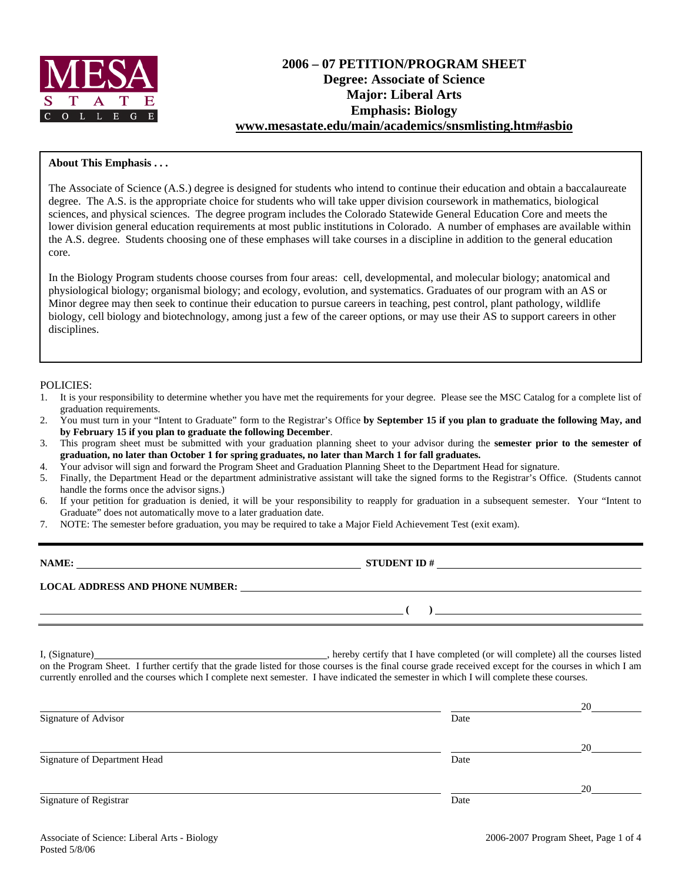

# **2006 – 07 PETITION/PROGRAM SHEET Degree: Associate of Science Major: Liberal Arts Emphasis: Biology www.mesastate.edu/main/academics/snsmlisting.htm#asbio**

## **About This Emphasis . . .**

The Associate of Science (A.S.) degree is designed for students who intend to continue their education and obtain a baccalaureate degree. The A.S. is the appropriate choice for students who will take upper division coursework in mathematics, biological sciences, and physical sciences. The degree program includes the Colorado Statewide General Education Core and meets the lower division general education requirements at most public institutions in Colorado. A number of emphases are available within the A.S. degree. Students choosing one of these emphases will take courses in a discipline in addition to the general education core.

In the Biology Program students choose courses from four areas: cell, developmental, and molecular biology; anatomical and physiological biology; organismal biology; and ecology, evolution, and systematics. Graduates of our program with an AS or Minor degree may then seek to continue their education to pursue careers in teaching, pest control, plant pathology, wildlife biology, cell biology and biotechnology, among just a few of the career options, or may use their AS to support careers in other disciplines.

### POLICIES:

- 1. It is your responsibility to determine whether you have met the requirements for your degree. Please see the MSC Catalog for a complete list of graduation requirements.
- 2. You must turn in your "Intent to Graduate" form to the Registrar's Office **by September 15 if you plan to graduate the following May, and by February 15 if you plan to graduate the following December**.
- 3. This program sheet must be submitted with your graduation planning sheet to your advisor during the **semester prior to the semester of graduation, no later than October 1 for spring graduates, no later than March 1 for fall graduates.**
- 4. Your advisor will sign and forward the Program Sheet and Graduation Planning Sheet to the Department Head for signature.
- 5. Finally, the Department Head or the department administrative assistant will take the signed forms to the Registrar's Office. (Students cannot handle the forms once the advisor signs.)
- 6. If your petition for graduation is denied, it will be your responsibility to reapply for graduation in a subsequent semester. Your "Intent to Graduate" does not automatically move to a later graduation date.
- 7. NOTE: The semester before graduation, you may be required to take a Major Field Achievement Test (exit exam).

| NAME:                                  | <b>STUDENT ID#</b> |
|----------------------------------------|--------------------|
| <b>LOCAL ADDRESS AND PHONE NUMBER:</b> |                    |
|                                        |                    |

I, (Signature) , hereby certify that I have completed (or will complete) all the courses listed on the Program Sheet. I further certify that the grade listed for those courses is the final course grade received except for the courses in which I am currently enrolled and the courses which I complete next semester. I have indicated the semester in which I will complete these courses.

|                              |      | 20 |
|------------------------------|------|----|
| Signature of Advisor         | Date |    |
|                              |      | 20 |
| Signature of Department Head | Date |    |
|                              |      | 20 |
| Signature of Registrar       | Date |    |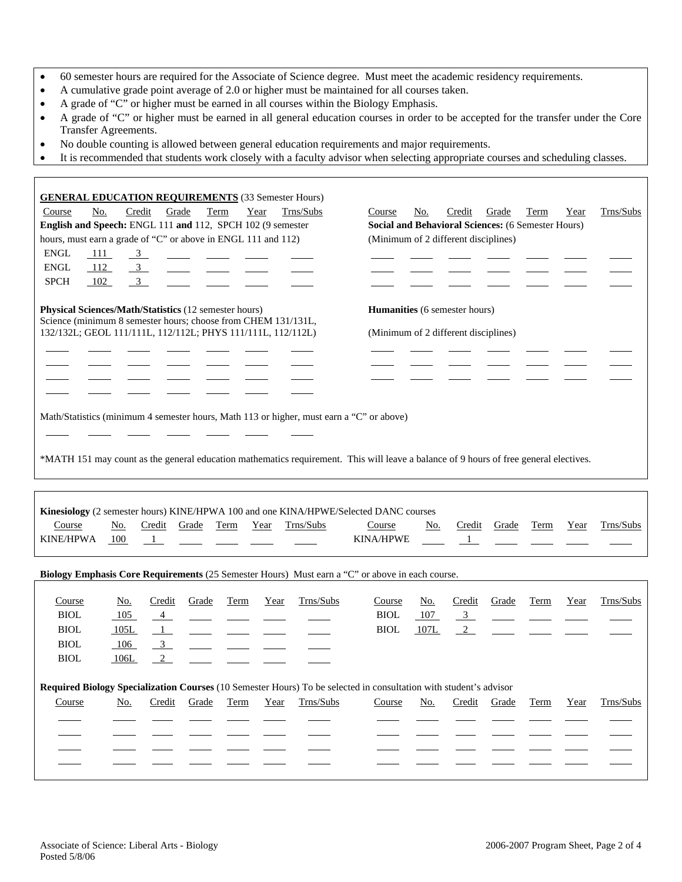- 60 semester hours are required for the Associate of Science degree. Must meet the academic residency requirements.
- A cumulative grade point average of 2.0 or higher must be maintained for all courses taken.
- A grade of "C" or higher must be earned in all courses within the Biology Emphasis.
- A grade of "C" or higher must be earned in all general education courses in order to be accepted for the transfer under the Core Transfer Agreements.
- No double counting is allowed between general education requirements and major requirements.
- It is recommended that students work closely with a faculty advisor when selecting appropriate courses and scheduling classes.

| <b>GENERAL EDUCATION REQUIREMENTS</b> (33 Semester Hours)                                                                    |               |                |       |      |      |           |                                                                                                                                       |            |                |       |      |      |           |
|------------------------------------------------------------------------------------------------------------------------------|---------------|----------------|-------|------|------|-----------|---------------------------------------------------------------------------------------------------------------------------------------|------------|----------------|-------|------|------|-----------|
| No.<br>Course                                                                                                                | Credit        | Grade          |       | Term | Year | Trns/Subs | Course                                                                                                                                | No.        | Credit         | Grade | Term | Year | Trns/Subs |
| English and Speech: ENGL 111 and 112, SPCH 102 (9 semester                                                                   |               |                |       |      |      |           | Social and Behavioral Sciences: (6 Semester Hours)                                                                                    |            |                |       |      |      |           |
| hours, must earn a grade of "C" or above in ENGL 111 and 112)                                                                |               |                |       |      |      |           | (Minimum of 2 different disciplines)                                                                                                  |            |                |       |      |      |           |
| <b>ENGL</b><br>111                                                                                                           | $\frac{3}{2}$ |                |       |      |      |           |                                                                                                                                       |            |                |       |      |      |           |
| <b>ENGL</b><br>112                                                                                                           |               | $\mathbf{3}$   |       |      |      |           |                                                                                                                                       |            |                |       |      |      |           |
| <b>SPCH</b><br>102                                                                                                           |               | $\mathfrak{Z}$ |       |      |      |           |                                                                                                                                       |            |                |       |      |      |           |
|                                                                                                                              |               |                |       |      |      |           |                                                                                                                                       |            |                |       |      |      |           |
| <b>Physical Sciences/Math/Statistics (12 semester hours)</b>                                                                 |               |                |       |      |      |           | <b>Humanities</b> (6 semester hours)                                                                                                  |            |                |       |      |      |           |
| Science (minimum 8 semester hours; choose from CHEM 131/131L,<br>132/132L; GEOL 111/111L, 112/112L; PHYS 111/111L, 112/112L) |               |                |       |      |      |           | (Minimum of 2 different disciplines)                                                                                                  |            |                |       |      |      |           |
|                                                                                                                              |               |                |       |      |      |           |                                                                                                                                       |            |                |       |      |      |           |
|                                                                                                                              |               |                |       |      |      |           |                                                                                                                                       |            |                |       |      |      |           |
|                                                                                                                              |               |                |       |      |      |           |                                                                                                                                       |            |                |       |      |      |           |
|                                                                                                                              |               |                |       |      |      |           |                                                                                                                                       |            |                |       |      |      |           |
|                                                                                                                              |               |                |       |      |      |           |                                                                                                                                       |            |                |       |      |      |           |
| Math/Statistics (minimum 4 semester hours, Math 113 or higher, must earn a "C" or above)                                     |               |                |       |      |      |           |                                                                                                                                       |            |                |       |      |      |           |
|                                                                                                                              |               |                |       |      |      |           |                                                                                                                                       |            |                |       |      |      |           |
|                                                                                                                              |               |                |       |      |      |           |                                                                                                                                       |            |                |       |      |      |           |
|                                                                                                                              |               |                |       |      |      |           | *MATH 151 may count as the general education mathematics requirement. This will leave a balance of 9 hours of free general electives. |            |                |       |      |      |           |
|                                                                                                                              |               |                |       |      |      |           |                                                                                                                                       |            |                |       |      |      |           |
|                                                                                                                              |               |                |       |      |      |           |                                                                                                                                       |            |                |       |      |      |           |
|                                                                                                                              |               |                |       |      |      |           |                                                                                                                                       |            |                |       |      |      |           |
|                                                                                                                              |               |                |       |      |      |           |                                                                                                                                       |            |                |       |      |      |           |
|                                                                                                                              |               |                |       |      |      |           | Kinesiology (2 semester hours) KINE/HPWA 100 and one KINA/HPWE/Selected DANC courses                                                  |            |                |       |      |      |           |
| Course                                                                                                                       | <u>No.</u>    | Credit         | Grade | Term | Year | Trns/Subs | Course                                                                                                                                | <u>No.</u> | Credit         | Grade | Term | Year | Trns/Subs |
| <b>KINE/HPWA</b>                                                                                                             | 100           | $\overline{1}$ |       |      |      |           | KINA/HPWE                                                                                                                             |            | $\frac{1}{2}$  |       |      |      |           |
|                                                                                                                              |               |                |       |      |      |           |                                                                                                                                       |            |                |       |      |      |           |
|                                                                                                                              |               |                |       |      |      |           | Biology Emphasis Core Requirements (25 Semester Hours) Must earn a "C" or above in each course.                                       |            |                |       |      |      |           |
|                                                                                                                              |               |                |       |      |      |           |                                                                                                                                       |            |                |       |      |      |           |
| Course                                                                                                                       | <u>No.</u>    | Credit         | Grade | Term | Year | Trns/Subs | Course                                                                                                                                | <u>No.</u> | Credit         | Grade | Term | Year | Trns/Subs |
| <b>BIOL</b>                                                                                                                  | 105           | 4              |       |      |      |           | <b>BIOL</b>                                                                                                                           | 107        | $\overline{3}$ |       |      |      |           |
| <b>BIOL</b>                                                                                                                  | 105L          | $\overline{1}$ |       |      |      |           | <b>BIOL</b>                                                                                                                           | 107L       | $\overline{2}$ |       |      |      |           |
| <b>BIOL</b>                                                                                                                  | 106           | $\overline{3}$ |       |      |      |           |                                                                                                                                       |            |                |       |      |      |           |
| <b>BIOL</b>                                                                                                                  | 106L          | 2              |       |      |      |           |                                                                                                                                       |            |                |       |      |      |           |
|                                                                                                                              |               |                |       |      |      |           |                                                                                                                                       |            |                |       |      |      |           |
|                                                                                                                              |               |                |       |      |      |           | Required Biology Specialization Courses (10 Semester Hours) To be selected in consultation with student's advisor                     |            |                |       |      |      |           |
| Course                                                                                                                       | No.           | Credit         | Grade | Term | Year | Trns/Subs | Course                                                                                                                                | <u>No.</u> | Credit         | Grade | Term | Year | Trns/Subs |
|                                                                                                                              |               |                |       |      |      |           |                                                                                                                                       |            |                |       |      |      |           |
|                                                                                                                              |               |                |       |      |      |           |                                                                                                                                       |            |                |       |      |      |           |
|                                                                                                                              |               |                |       |      |      |           |                                                                                                                                       |            |                |       |      |      |           |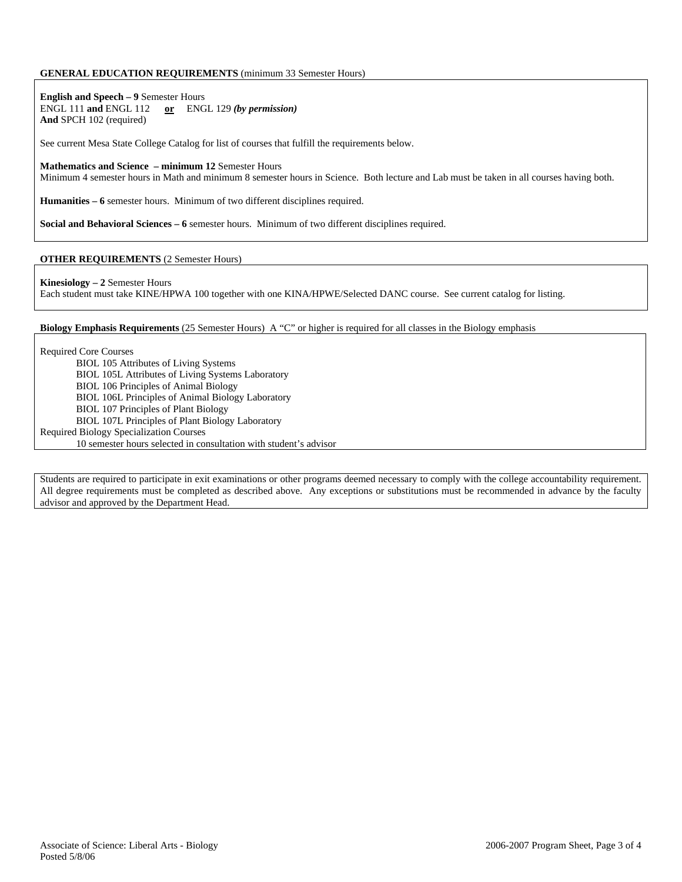## **GENERAL EDUCATION REQUIREMENTS** (minimum 33 Semester Hours)

**English and Speech – 9** Semester Hours ENGL 111 **and** ENGL 112 **or** ENGL 129 *(by permission)* **And** SPCH 102 (required)

See current Mesa State College Catalog for list of courses that fulfill the requirements below.

#### **Mathematics and Science – minimum 12** Semester Hours

Minimum 4 semester hours in Math and minimum 8 semester hours in Science. Both lecture and Lab must be taken in all courses having both.

**Humanities – 6** semester hours. Minimum of two different disciplines required.

**Social and Behavioral Sciences – 6** semester hours. Minimum of two different disciplines required.

### **OTHER REQUIREMENTS** (2 Semester Hours)

**Kinesiology – 2** Semester Hours

Each student must take KINE/HPWA 100 together with one KINA/HPWE/Selected DANC course. See current catalog for listing.

**Biology Emphasis Requirements** (25 Semester Hours) A "C" or higher is required for all classes in the Biology emphasis

Required Core Courses

- BIOL 105 Attributes of Living Systems
- BIOL 105L Attributes of Living Systems Laboratory
- BIOL 106 Principles of Animal Biology
- BIOL 106L Principles of Animal Biology Laboratory
- BIOL 107 Principles of Plant Biology
- BIOL 107L Principles of Plant Biology Laboratory
- Required Biology Specialization Courses
	- 10 semester hours selected in consultation with student's advisor

Students are required to participate in exit examinations or other programs deemed necessary to comply with the college accountability requirement. All degree requirements must be completed as described above. Any exceptions or substitutions must be recommended in advance by the faculty advisor and approved by the Department Head.